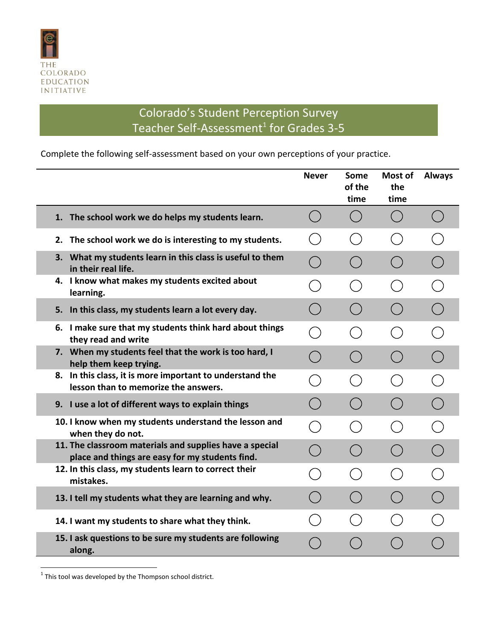

## Colorado's Student Perception Survey Teacher Self-Assessment $^1$  for Grades 3-5

Complete the following self-assessment based on your own perceptions of your practice.

|                                                                                                            | <b>Never</b> | Some<br>of the<br>time | Most of<br>the<br>time                      | <b>Always</b>            |
|------------------------------------------------------------------------------------------------------------|--------------|------------------------|---------------------------------------------|--------------------------|
| 1. The school work we do helps my students learn.                                                          |              | $($ )                  | $($ )                                       | $\overline{\phantom{a}}$ |
| 2. The school work we do is interesting to my students.                                                    |              |                        |                                             |                          |
| 3. What my students learn in this class is useful to them<br>in their real life.                           |              |                        |                                             |                          |
| 4. I know what makes my students excited about<br>learning.                                                |              | $\mathcal{L}$          | $\left(\begin{array}{c} \end{array}\right)$ |                          |
| 5. In this class, my students learn a lot every day.                                                       |              |                        |                                             |                          |
| 6. I make sure that my students think hard about things<br>they read and write                             |              |                        |                                             |                          |
| 7. When my students feel that the work is too hard, I<br>help them keep trying.                            |              | $($ )                  | $\left( \quad \right)$                      |                          |
| 8. In this class, it is more important to understand the<br>lesson than to memorize the answers.           |              |                        | $\left(\begin{array}{c} \end{array}\right)$ |                          |
| 9. I use a lot of different ways to explain things                                                         |              |                        |                                             |                          |
| 10. I know when my students understand the lesson and<br>when they do not.                                 |              |                        |                                             |                          |
| 11. The classroom materials and supplies have a special<br>place and things are easy for my students find. |              | $($ )                  | $(\quad)$                                   |                          |
| 12. In this class, my students learn to correct their<br>mistakes.                                         |              |                        | $\overline{\phantom{a}}$                    |                          |
| 13. I tell my students what they are learning and why.                                                     |              |                        |                                             |                          |
| 14. I want my students to share what they think.                                                           |              |                        |                                             |                          |
| 15. I ask questions to be sure my students are following<br>along.                                         |              |                        |                                             |                          |

l

 $1$  This tool was developed by the Thompson school district.